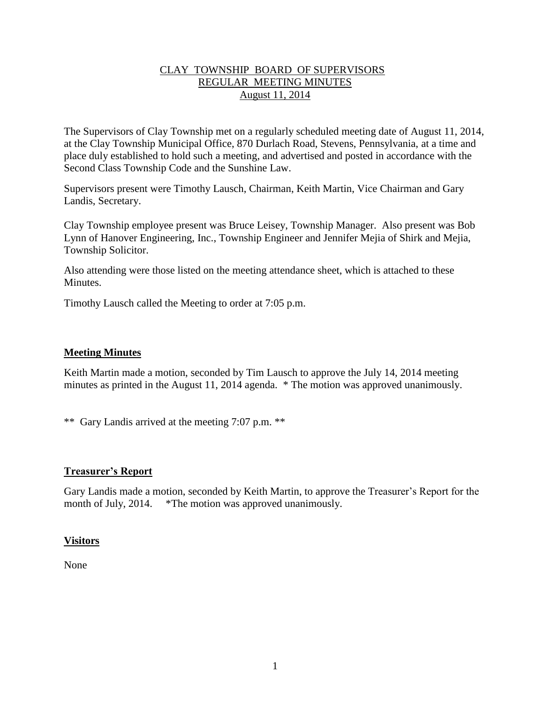# CLAY TOWNSHIP BOARD OF SUPERVISORS REGULAR MEETING MINUTES August 11, 2014

The Supervisors of Clay Township met on a regularly scheduled meeting date of August 11, 2014, at the Clay Township Municipal Office, 870 Durlach Road, Stevens, Pennsylvania, at a time and place duly established to hold such a meeting, and advertised and posted in accordance with the Second Class Township Code and the Sunshine Law.

Supervisors present were Timothy Lausch, Chairman, Keith Martin, Vice Chairman and Gary Landis, Secretary.

Clay Township employee present was Bruce Leisey, Township Manager. Also present was Bob Lynn of Hanover Engineering, Inc., Township Engineer and Jennifer Mejia of Shirk and Mejia, Township Solicitor.

Also attending were those listed on the meeting attendance sheet, which is attached to these **Minutes** 

Timothy Lausch called the Meeting to order at 7:05 p.m.

## **Meeting Minutes**

Keith Martin made a motion, seconded by Tim Lausch to approve the July 14, 2014 meeting minutes as printed in the August 11, 2014 agenda. \* The motion was approved unanimously.

\*\* Gary Landis arrived at the meeting 7:07 p.m. \*\*

### **Treasurer's Report**

Gary Landis made a motion, seconded by Keith Martin, to approve the Treasurer's Report for the month of July, 2014. \*The motion was approved unanimously.

### **Visitors**

None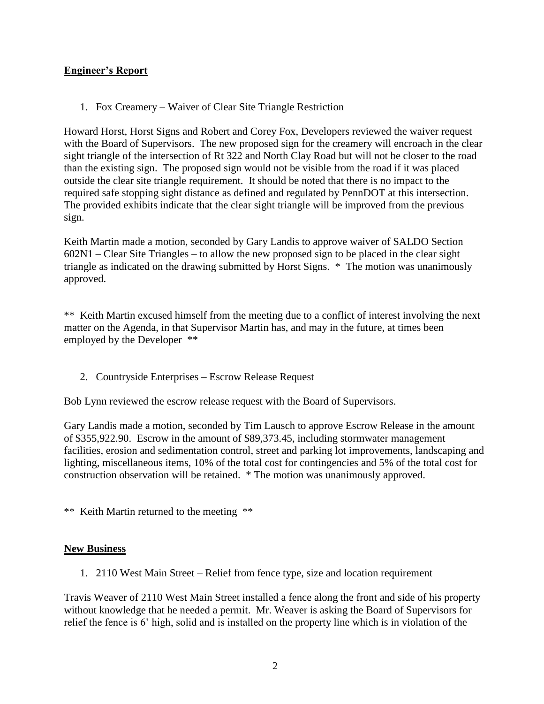# **Engineer's Report**

1. Fox Creamery – Waiver of Clear Site Triangle Restriction

Howard Horst, Horst Signs and Robert and Corey Fox, Developers reviewed the waiver request with the Board of Supervisors. The new proposed sign for the creamery will encroach in the clear sight triangle of the intersection of Rt 322 and North Clay Road but will not be closer to the road than the existing sign. The proposed sign would not be visible from the road if it was placed outside the clear site triangle requirement. It should be noted that there is no impact to the required safe stopping sight distance as defined and regulated by PennDOT at this intersection. The provided exhibits indicate that the clear sight triangle will be improved from the previous sign.

Keith Martin made a motion, seconded by Gary Landis to approve waiver of SALDO Section 602N1 – Clear Site Triangles – to allow the new proposed sign to be placed in the clear sight triangle as indicated on the drawing submitted by Horst Signs. \* The motion was unanimously approved.

\*\* Keith Martin excused himself from the meeting due to a conflict of interest involving the next matter on the Agenda, in that Supervisor Martin has, and may in the future, at times been employed by the Developer \*\*

2. Countryside Enterprises – Escrow Release Request

Bob Lynn reviewed the escrow release request with the Board of Supervisors.

Gary Landis made a motion, seconded by Tim Lausch to approve Escrow Release in the amount of \$355,922.90. Escrow in the amount of \$89,373.45, including stormwater management facilities, erosion and sedimentation control, street and parking lot improvements, landscaping and lighting, miscellaneous items, 10% of the total cost for contingencies and 5% of the total cost for construction observation will be retained. \* The motion was unanimously approved.

\*\* Keith Martin returned to the meeting \*\*

### **New Business**

1. 2110 West Main Street – Relief from fence type, size and location requirement

Travis Weaver of 2110 West Main Street installed a fence along the front and side of his property without knowledge that he needed a permit. Mr. Weaver is asking the Board of Supervisors for relief the fence is 6' high, solid and is installed on the property line which is in violation of the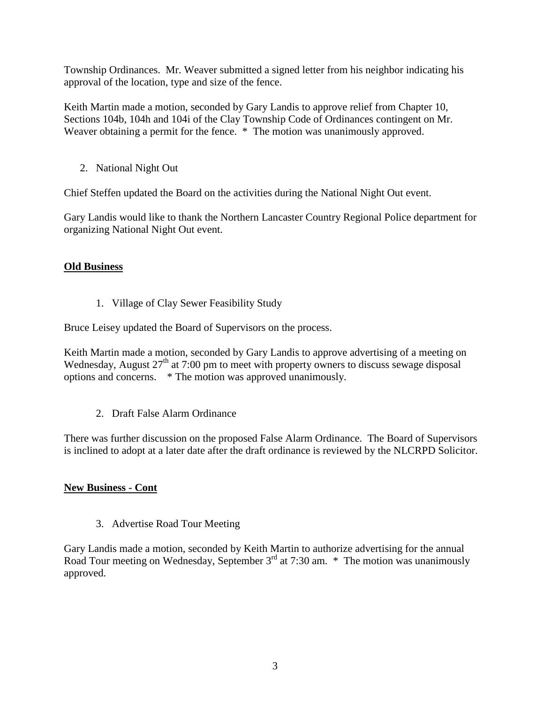Township Ordinances. Mr. Weaver submitted a signed letter from his neighbor indicating his approval of the location, type and size of the fence.

Keith Martin made a motion, seconded by Gary Landis to approve relief from Chapter 10, Sections 104b, 104h and 104i of the Clay Township Code of Ordinances contingent on Mr. Weaver obtaining a permit for the fence.  $*$  The motion was unanimously approved.

2. National Night Out

Chief Steffen updated the Board on the activities during the National Night Out event.

Gary Landis would like to thank the Northern Lancaster Country Regional Police department for organizing National Night Out event.

# **Old Business**

1. Village of Clay Sewer Feasibility Study

Bruce Leisey updated the Board of Supervisors on the process.

Keith Martin made a motion, seconded by Gary Landis to approve advertising of a meeting on Wednesday, August  $27<sup>th</sup>$  at 7:00 pm to meet with property owners to discuss sewage disposal options and concerns. \* The motion was approved unanimously.

2. Draft False Alarm Ordinance

There was further discussion on the proposed False Alarm Ordinance. The Board of Supervisors is inclined to adopt at a later date after the draft ordinance is reviewed by the NLCRPD Solicitor.

# **New Business - Cont**

3. Advertise Road Tour Meeting

Gary Landis made a motion, seconded by Keith Martin to authorize advertising for the annual Road Tour meeting on Wednesday, September  $3^{rd}$  at 7:30 am. \* The motion was unanimously approved.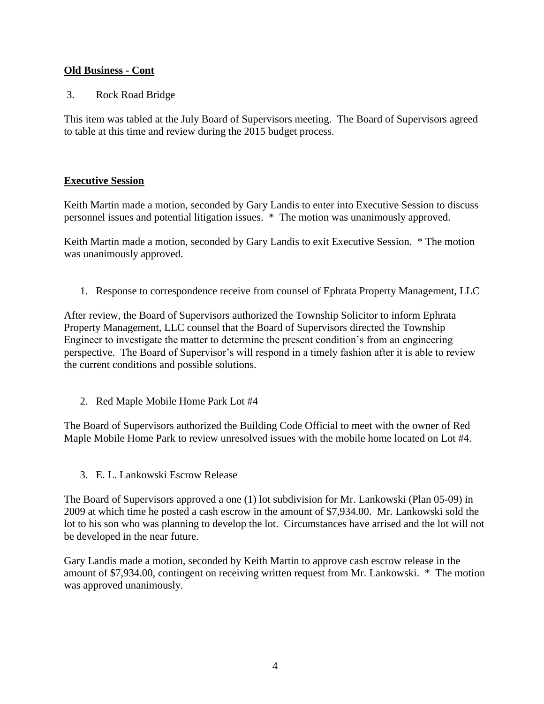# **Old Business - Cont**

3. Rock Road Bridge

This item was tabled at the July Board of Supervisors meeting. The Board of Supervisors agreed to table at this time and review during the 2015 budget process.

# **Executive Session**

Keith Martin made a motion, seconded by Gary Landis to enter into Executive Session to discuss personnel issues and potential litigation issues. \* The motion was unanimously approved.

Keith Martin made a motion, seconded by Gary Landis to exit Executive Session. \* The motion was unanimously approved.

1. Response to correspondence receive from counsel of Ephrata Property Management, LLC

After review, the Board of Supervisors authorized the Township Solicitor to inform Ephrata Property Management, LLC counsel that the Board of Supervisors directed the Township Engineer to investigate the matter to determine the present condition's from an engineering perspective. The Board of Supervisor's will respond in a timely fashion after it is able to review the current conditions and possible solutions.

2. Red Maple Mobile Home Park Lot #4

The Board of Supervisors authorized the Building Code Official to meet with the owner of Red Maple Mobile Home Park to review unresolved issues with the mobile home located on Lot #4.

3. E. L. Lankowski Escrow Release

The Board of Supervisors approved a one (1) lot subdivision for Mr. Lankowski (Plan 05-09) in 2009 at which time he posted a cash escrow in the amount of \$7,934.00. Mr. Lankowski sold the lot to his son who was planning to develop the lot. Circumstances have arrised and the lot will not be developed in the near future.

Gary Landis made a motion, seconded by Keith Martin to approve cash escrow release in the amount of \$7,934.00, contingent on receiving written request from Mr. Lankowski. \* The motion was approved unanimously.